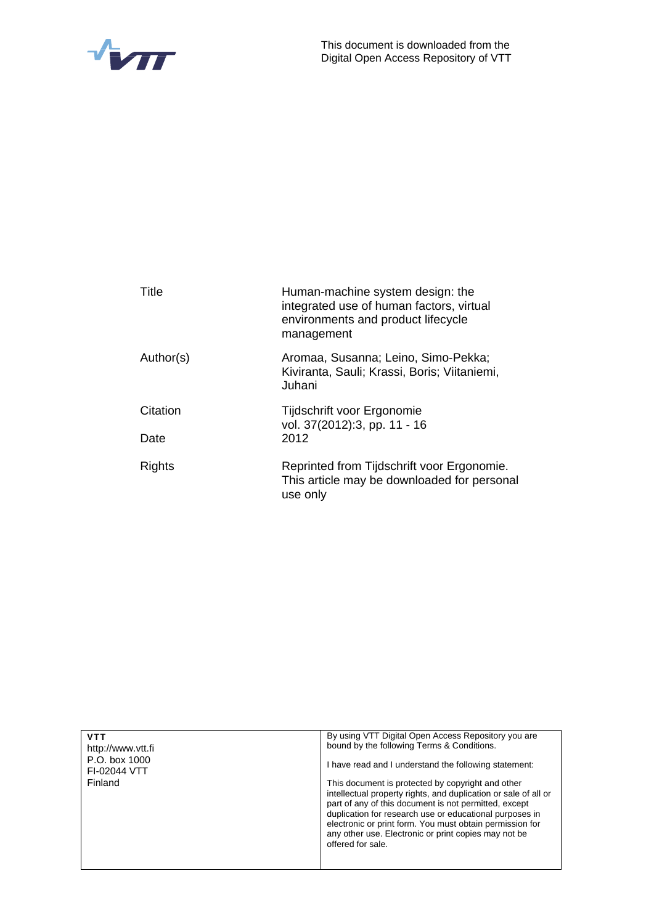



| Title     | Human-machine system design: the<br>integrated use of human factors, virtual<br>environments and product lifecycle<br>management |
|-----------|----------------------------------------------------------------------------------------------------------------------------------|
| Author(s) | Aromaa, Susanna; Leino, Simo-Pekka;<br>Kiviranta, Sauli; Krassi, Boris; Viitaniemi,<br>Juhani                                    |
| Citation  | Tijdschrift voor Ergonomie<br>vol. 37(2012):3, pp. 11 - 16                                                                       |
| Date      | 2012                                                                                                                             |
| Rights    | Reprinted from Tijdschrift voor Ergonomie.<br>This article may be downloaded for personal<br>use only                            |

| <b>VTT</b><br>http://www.ytt.fi<br>P.O. box 1000<br>FI-02044 VTT<br>Finland | By using VTT Digital Open Access Repository you are<br>bound by the following Terms & Conditions.<br>I have read and I understand the following statement:<br>This document is protected by copyright and other<br>intellectual property rights, and duplication or sale of all or<br>part of any of this document is not permitted, except |
|-----------------------------------------------------------------------------|---------------------------------------------------------------------------------------------------------------------------------------------------------------------------------------------------------------------------------------------------------------------------------------------------------------------------------------------|
|                                                                             | duplication for research use or educational purposes in<br>electronic or print form. You must obtain permission for<br>any other use. Electronic or print copies may not be<br>offered for sale.                                                                                                                                            |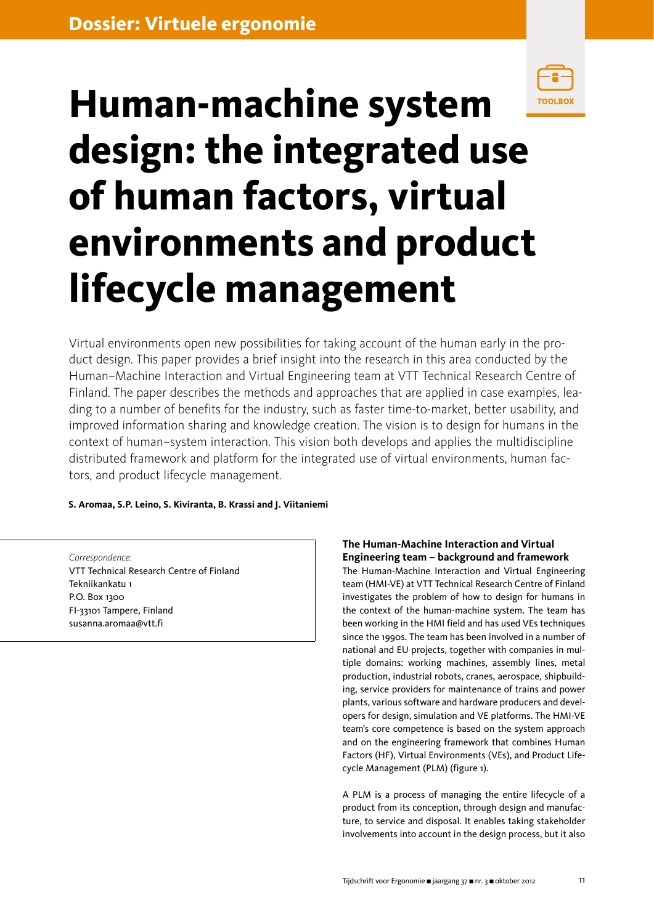

# **Human-machine system design: the integrated use of human factors, virtual environments and product lifecycle management**

Virtual environments open new possibilities for taking account of the human early in the product design. This paper provides a brief insight into the research in this area conducted by the Human–Machine Interaction and Virtual Engineering team at VTT Technical Research Centre of Finland. The paper describes the methods and approaches that are applied in case examples, leading to a number of benefits for the industry, such as faster time-to-market, better usability, and improved information sharing and knowledge creation. The vision is to design for humans in the context of human–system interaction. This vision both develops and applies the multidiscipline distributed framework and platform for the integrated use of virtual environments, human factors, and product lifecycle management.

## **S. Aromaa, S.P. Leino, S. Kiviranta, B. Krassi and J. Viitaniemi**

*Correspondence:* VTT Technical Research Centre of Finland Tekniikankatu 1 P.O. Box 1300 FI-33101 Tampere, Finland susanna.aromaa@vtt.fi

# **The Human-Machine Interaction and Virtual Engineering team – background and framework**

The Human-Machine Interaction and Virtual Engineering team (HMI-VE) at VTT Technical Research Centre of Finland investigates the problem of how to design for humans in the context of the human-machine system. The team has been working in the HMI field and has used VEs techniques since the 1990s. The team has been involved in a number of national and EU projects, together with companies in multiple domains: working machines, assembly lines, metal production, industrial robots, cranes, aerospace, shipbuilding, service providers for maintenance of trains and power plants, various software and hardware producers and developers for design, simulation and VE platforms. The HMI-VE team's core competence is based on the system approach and on the engineering framework that combines Human Factors (HF), Virtual Environments (VEs), and Product Lifecycle Management (PLM) (figure 1).

A PLM is a process of managing the entire lifecycle of a product from its conception, through design and manufacture, to service and disposal. It enables taking stakeholder involvements into account in the design process, but it also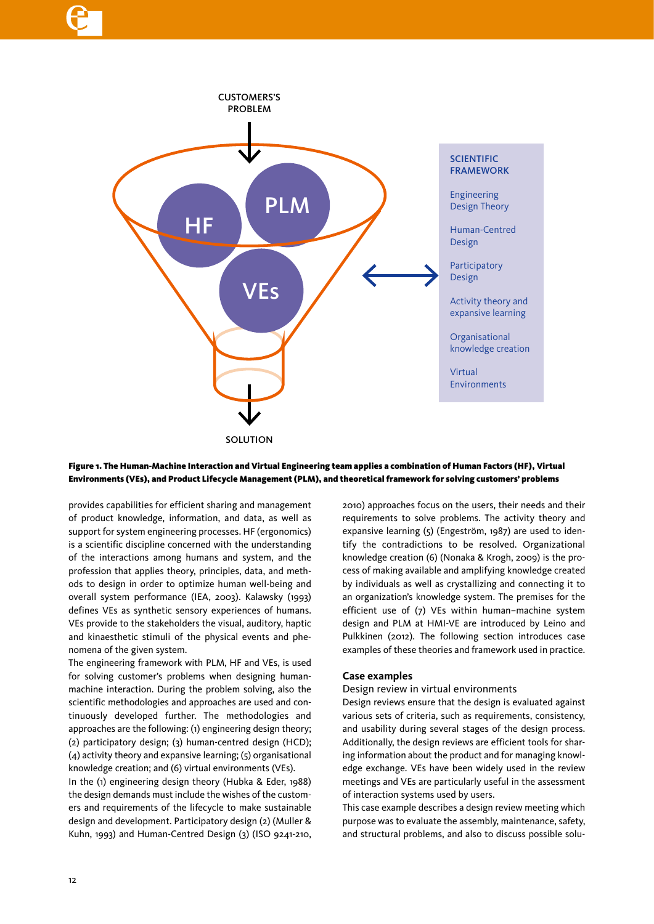

### Figure 1. The Human-Machine Interaction and Virtual Engineering team applies a combination of Human Factors (HF), Virtual Environments (VEs), and Product Lifecycle Management (PLM), and theoretical framework for solving customers' problems

provides capabilities for efficient sharing and management of product knowledge, information, and data, as well as support for system engineering processes. HF (ergonomics) is a scientific discipline concerned with the understanding of the interactions among humans and system, and the profession that applies theory, principles, data, and methods to design in order to optimize human well-being and overall system performance (IEA, 2003). Kalawsky (1993) defines VEs as synthetic sensory experiences of humans. VEs provide to the stakeholders the visual, auditory, haptic and kinaesthetic stimuli of the physical events and phenomena of the given system.

The engineering framework with PLM, HF and VEs, is used for solving customer's problems when designing humanmachine interaction. During the problem solving, also the scientific methodologies and approaches are used and continuously developed further. The methodologies and approaches are the following: (1) engineering design theory; (2) participatory design; (3) human-centred design (HCD); (4) activity theory and expansive learning; (5) organisational knowledge creation; and (6) virtual environments (VEs).

In the (1) engineering design theory (Hubka & Eder, 1988) the design demands must include the wishes of the customers and requirements of the lifecycle to make sustainable design and development. Participatory design (2) (Muller & Kuhn, 1993) and Human-Centred Design (3) (ISO 9241-210, 2010) approaches focus on the users, their needs and their requirements to solve problems. The activity theory and expansive learning (5) (Engeström, 1987) are used to identify the contradictions to be resolved. Organizational knowledge creation (6) (Nonaka & Krogh, 2009) is the process of making available and amplifying knowledge created by individuals as well as crystallizing and connecting it to an organization's knowledge system. The premises for the efficient use of (7) VEs within human–machine system design and PLM at HMI-VE are introduced by Leino and Pulkkinen (2012). The following section introduces case examples of these theories and framework used in practice.

## **Case examples**

#### Design review in virtual environments

Design reviews ensure that the design is evaluated against various sets of criteria, such as requirements, consistency, and usability during several stages of the design process. Additionally, the design reviews are efficient tools for sharing information about the product and for managing knowledge exchange. VEs have been widely used in the review meetings and VEs are particularly useful in the assessment of interaction systems used by users.

This case example describes a design review meeting which purpose was to evaluate the assembly, maintenance, safety, and structural problems, and also to discuss possible solu-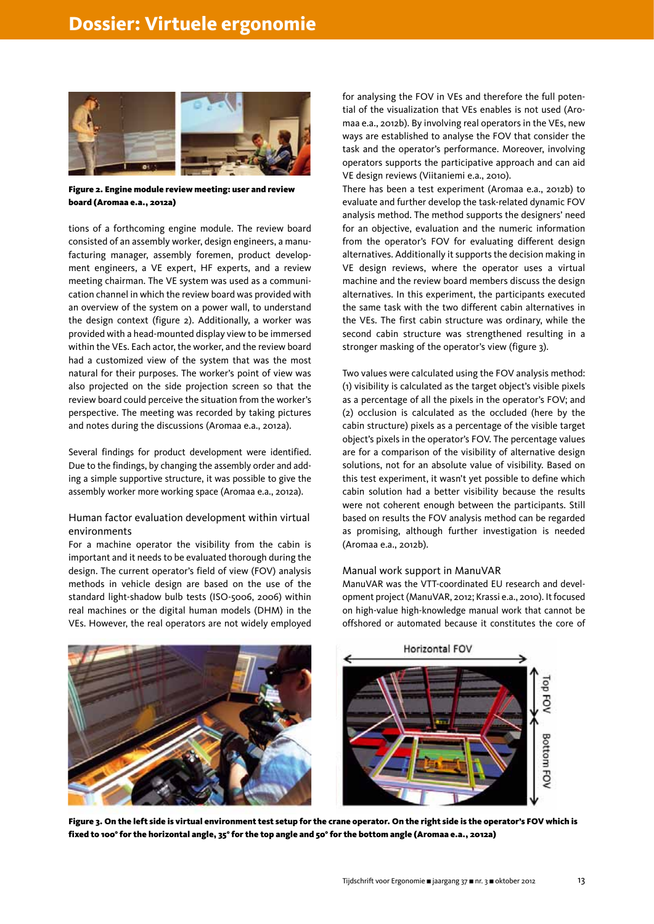

Figure 2. Engine module review meeting: user and review board (Aromaa e.a., 2012a)

tions of a forthcoming engine module. The review board consisted of an assembly worker, design engineers, a manufacturing manager, assembly foremen, product development engineers, a VE expert, HF experts, and a review meeting chairman. The VE system was used as a communication channel in which the review board was provided with an overview of the system on a power wall, to understand the design context (figure 2). Additionally, a worker was provided with a head-mounted display view to be immersed within the VEs. Each actor, the worker, and the review board had a customized view of the system that was the most natural for their purposes. The worker's point of view was also projected on the side projection screen so that the review board could perceive the situation from the worker's perspective. The meeting was recorded by taking pictures and notes during the discussions (Aromaa e.a., 2012a).

Several findings for product development were identified. Due to the findings, by changing the assembly order and adding a simple supportive structure, it was possible to give the assembly worker more working space (Aromaa e.a., 2012a).

#### Human factor evaluation development within virtual environments

For a machine operator the visibility from the cabin is important and it needs to be evaluated thorough during the design. The current operator's field of view (FOV) analysis methods in vehicle design are based on the use of the standard light-shadow bulb tests (ISO-5006, 2006) within real machines or the digital human models (DHM) in the VEs. However, the real operators are not widely employed for analysing the FOV in VEs and therefore the full potential of the visualization that VEs enables is not used (Aromaa e.a., 2012b). By involving real operators in the VEs, new ways are established to analyse the FOV that consider the task and the operator's performance. Moreover, involving operators supports the participative approach and can aid VE design reviews (Viitaniemi e.a., 2010).

There has been a test experiment (Aromaa e.a., 2012b) to evaluate and further develop the task-related dynamic FOV analysis method. The method supports the designers' need for an objective, evaluation and the numeric information from the operator's FOV for evaluating different design alternatives. Additionally it supports the decision making in VE design reviews, where the operator uses a virtual machine and the review board members discuss the design alternatives. In this experiment, the participants executed the same task with the two different cabin alternatives in the VEs. The first cabin structure was ordinary, while the second cabin structure was strengthened resulting in a stronger masking of the operator's view (figure 3).

Two values were calculated using the FOV analysis method: (1) visibility is calculated as the target object's visible pixels as a percentage of all the pixels in the operator's FOV; and (2) occlusion is calculated as the occluded (here by the cabin structure) pixels as a percentage of the visible target object's pixels in the operator's FOV. The percentage values are for a comparison of the visibility of alternative design solutions, not for an absolute value of visibility. Based on this test experiment, it wasn't yet possible to define which cabin solution had a better visibility because the results were not coherent enough between the participants. Still based on results the FOV analysis method can be regarded as promising, although further investigation is needed (Aromaa e.a., 2012b).

#### Manual work support in ManuVAR

ManuVAR was the VTT-coordinated EU research and development project (ManuVAR, 2012; Krassi e.a., 2010). It focused on high-value high-knowledge manual work that cannot be offshored or automated because it constitutes the core of



Figure 3. On the left side is virtual environment test setup for the crane operator. On the right side is the operator's FOV which is fixed to 100° for the horizontal angle, 35° for the top angle and 50° for the bottom angle (Aromaa e.a., 2012a)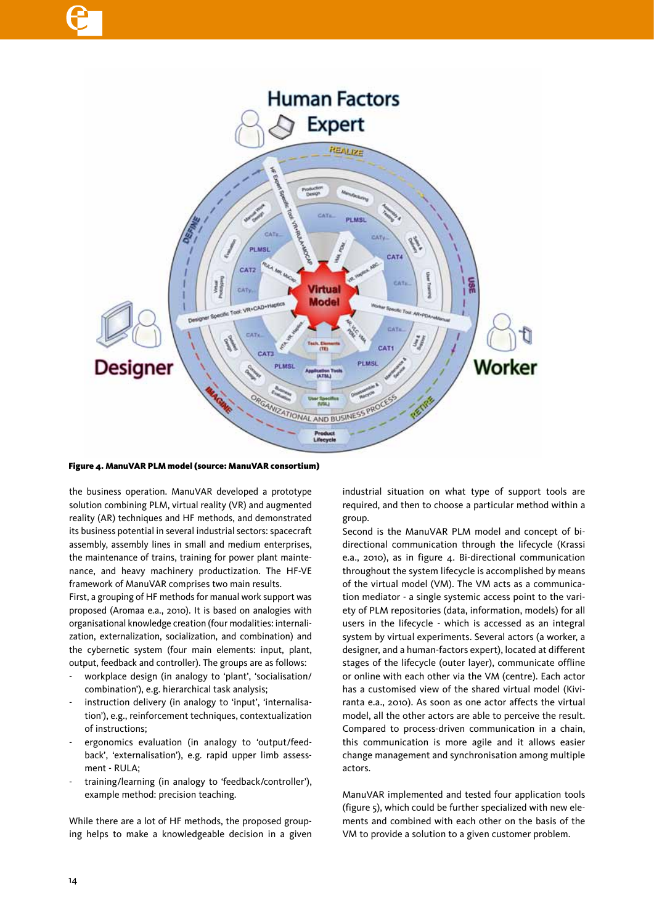

#### Figure 4. ManuVAR PLM model (source: ManuVAR consortium)

the business operation. ManuVAR developed a prototype solution combining PLM, virtual reality (VR) and augmented reality (AR) techniques and HF methods, and demonstrated its business potential in several industrial sectors: spacecraft assembly, assembly lines in small and medium enterprises, the maintenance of trains, training for power plant maintenance, and heavy machinery productization. The HF-VE framework of ManuVAR comprises two main results.

First, a grouping of HF methods for manual work support was proposed (Aromaa e.a., 2010). It is based on analogies with organisational knowledge creation (four modalities: internalization, externalization, socialization, and combination) and the cybernetic system (four main elements: input, plant, output, feedback and controller). The groups are as follows:

- workplace design (in analogy to 'plant', 'socialisation/ combination'), e.g. hierarchical task analysis;
- instruction delivery (in analogy to 'input', 'internalisation'), e.g., reinforcement techniques, contextualization of instructions;
- ergonomics evaluation (in analogy to 'output/feedback', 'externalisation'), e.g. rapid upper limb assessment - RULA;
- training/learning (in analogy to 'feedback/controller'), example method: precision teaching.

While there are a lot of HF methods, the proposed grouping helps to make a knowledgeable decision in a given industrial situation on what type of support tools are required, and then to choose a particular method within a group.

Second is the ManuVAR PLM model and concept of bidirectional communication through the lifecycle (Krassi e.a., 2010), as in figure 4. Bi-directional communication throughout the system lifecycle is accomplished by means of the virtual model (VM). The VM acts as a communication mediator - a single systemic access point to the variety of PLM repositories (data, information, models) for all users in the lifecycle - which is accessed as an integral system by virtual experiments. Several actors (a worker, a designer, and a human-factors expert), located at different stages of the lifecycle (outer layer), communicate offline or online with each other via the VM (centre). Each actor has a customised view of the shared virtual model (Kiviranta e.a., 2010). As soon as one actor affects the virtual model, all the other actors are able to perceive the result. Compared to process-driven communication in a chain, this communication is more agile and it allows easier change management and synchronisation among multiple actors.

ManuVAR implemented and tested four application tools (figure 5), which could be further specialized with new elements and combined with each other on the basis of the VM to provide a solution to a given customer problem.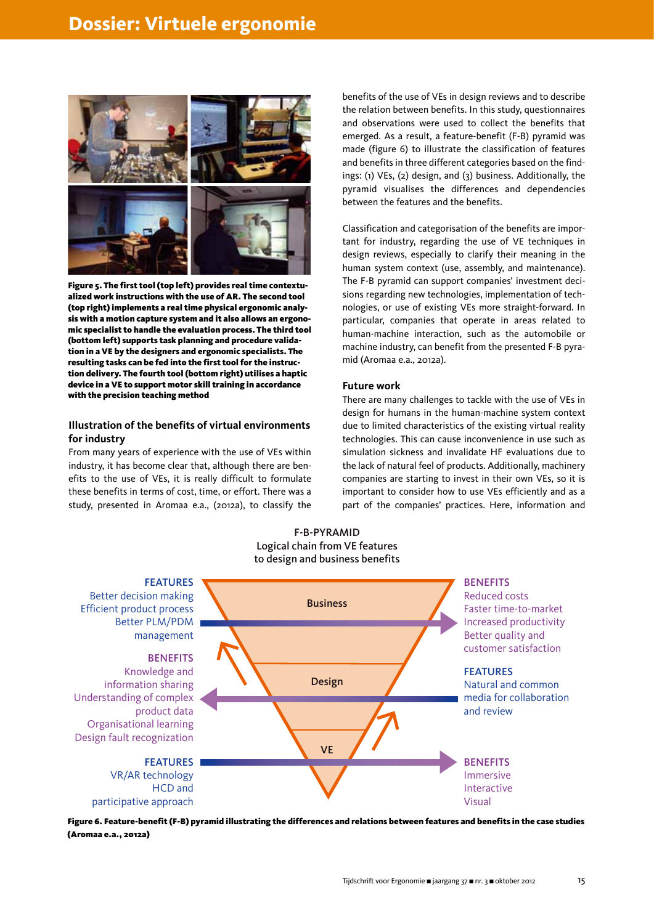

Figure 5. The first tool (top left) provides real time contextualized work instructions with the use of AR. The second tool (top right) implements a real time physical ergonomic analysis with a motion capture system and it also allows an ergonomic specialist to handle the evaluation process. The third tool (bottom left) supports task planning and procedure validation in a VE by the designers and ergonomic specialists. The resulting tasks can be fed into the first tool for the instruction delivery. The fourth tool (bottom right) utilises a haptic device in a VE to support motor skill training in accordance with the precision teaching method

## **Illustration of the benefits of virtual environments for industry**

From many years of experience with the use of VEs within industry, it has become clear that, although there are benefits to the use of VEs, it is really difficult to formulate these benefits in terms of cost, time, or effort. There was a study, presented in Aromaa e.a., (2012a), to classify the benefits of the use of VEs in design reviews and to describe the relation between benefits. In this study, questionnaires and observations were used to collect the benefits that emerged. As a result, a feature-benefit (F-B) pyramid was made (figure 6) to illustrate the classification of features and benefits in three different categories based on the findings: (1) VEs, (2) design, and (3) business. Additionally, the pyramid visualises the differences and dependencies between the features and the benefits.

Classification and categorisation of the benefits are important for industry, regarding the use of VE techniques in design reviews, especially to clarify their meaning in the human system context (use, assembly, and maintenance). The F-B pyramid can support companies' investment decisions regarding new technologies, implementation of technologies, or use of existing VEs more straight-forward. In particular, companies that operate in areas related to human-machine interaction, such as the automobile or machine industry, can benefit from the presented F-B pyramid (Aromaa e.a., 2012a).

#### **Future work**

There are many challenges to tackle with the use of VEs in design for humans in the human-machine system context due to limited characteristics of the existing virtual reality technologies. This can cause inconvenience in use such as simulation sickness and invalidate HF evaluations due to the lack of natural feel of products. Additionally, machinery companies are starting to invest in their own VEs, so it is important to consider how to use VEs efficiently and as a part of the companies' practices. Here, information and



Figure 6. Feature-benefit (F-B) pyramid illustrating the differences and relations between features and benefits in the case studies (Aromaa e.a., 2012a)